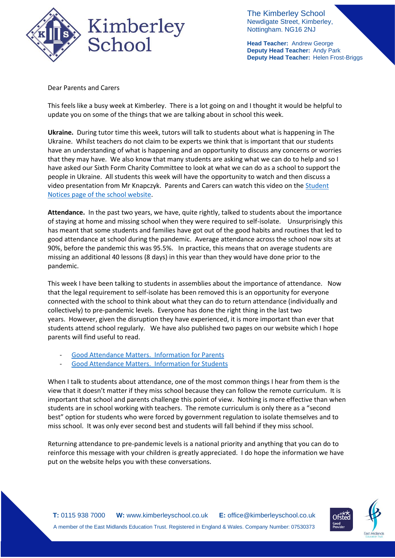

The Kimberley School Newdigate Street, Kimberley, Nottingham. NG16 2NJ

**Head Teacher:** Andrew George **Deputy Head Teacher:** Andy Park **Deputy Head Teacher:** Helen Frost-Briggs

Dear Parents and Carers

This feels like a busy week at Kimberley. There is a lot going on and I thought it would be helpful to update you on some of the things that we are talking about in school this week.

**Ukraine.** During tutor time this week, tutors will talk to students about what is happening in The Ukraine. Whilst teachers do not claim to be experts we think that is important that our students have an understanding of what is happening and an opportunity to discuss any concerns or worries that they may have. We also know that many students are asking what we can do to help and so I have asked our Sixth Form Charity Committee to look at what we can do as a school to support the people in Ukraine. All students this week will have the opportunity to watch and then discuss a video presentation from Mr Knapczyk. Parents and Carers can watch this video on the [Student](https://www.kimberleyschool.co.uk/notices)  [Notices page of the school website.](https://www.kimberleyschool.co.uk/notices)

**Attendance.** In the past two years, we have, quite rightly, talked to students about the importance of staying at home and missing school when they were required to self-isolate. Unsurprisingly this has meant that some students and families have got out of the good habits and routines that led to good attendance at school during the pandemic. Average attendance across the school now sits at 90%, before the pandemic this was 95.5%. In practice, this means that on average students are missing an additional 40 lessons (8 days) in this year than they would have done prior to the pandemic.

This week I have been talking to students in assemblies about the importance of attendance. Now that the legal requirement to self-isolate has been removed this is an opportunity for everyone connected with the school to think about what they can do to return attendance (individually and collectively) to pre-pandemic levels. Everyone has done the right thing in the last two years. However, given the disruption they have experienced, it is more important than ever that students attend school regularly. We have also published two pages on our website which I hope parents will find useful to read.

- [Good Attendance Matters.](https://www.kimberleyschool.co.uk/goodattendancematters-parents) Information for Parents
- [Good Attendance Matters.](https://www.kimberleyschool.co.uk/goodattendancematters-students) Information for Students

When I talk to students about attendance, one of the most common things I hear from them is the view that it doesn't matter if they miss school because they can follow the remote curriculum. It is important that school and parents challenge this point of view. Nothing is more effective than when students are in school working with teachers. The remote curriculum is only there as a "second best" option for students who were forced by government regulation to isolate themselves and to miss school. It was only ever second best and students will fall behind if they miss school.

Returning attendance to pre-pandemic levels is a national priority and anything that you can do to reinforce this message with your children is greatly appreciated. I do hope the information we have put on the website helps you with these conversations.